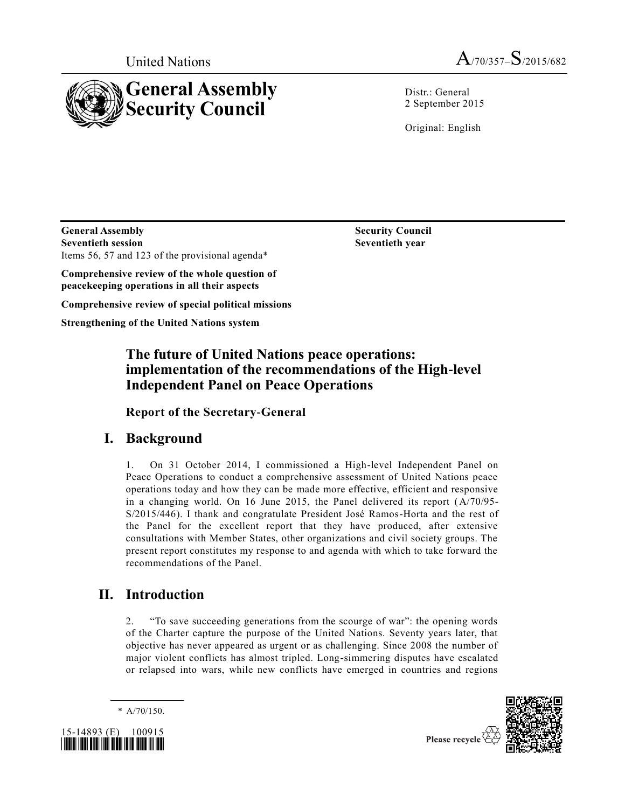



Distr.: General 2 September 2015

Original: English

**Security Council Seventieth year**

**General Assembly Seventieth session** Items 56, 57 and 123 of the provisional agenda\*

**Comprehensive review of the whole question of peacekeeping operations in all their aspects**

**Comprehensive review of special political missions**

**Strengthening of the United Nations system**

# **The future of United Nations peace operations: implementation of the recommendations of the High-level Independent Panel on Peace Operations**

**Report of the Secretary-General**

# **I. Background**

1. On 31 October 2014, I commissioned a High-level Independent Panel on Peace Operations to conduct a comprehensive assessment of United Nations peace operations today and how they can be made more effective, efficient and responsive in a changing world. On 16 June 2015, the Panel delivered its report [\(A/70/95-](http://undocs.org/A/70/95) [S/2015/446\)](http://undocs.org/A/70/95). I thank and congratulate President José Ramos-Horta and the rest of the Panel for the excellent report that they have produced, after extensive consultations with Member States, other organizations and civil society groups. The present report constitutes my response to and agenda with which to take forward the recommendations of the Panel.

# **II. Introduction**

2. "To save succeeding generations from the scourge of war": the opening words of the Charter capture the purpose of the United Nations. Seventy years later, that objective has never appeared as urgent or as challenging. Since 2008 the number of major violent conflicts has almost tripled. Long-simmering disputes have escalated or relapsed into wars, while new conflicts have emerged in countries and regions

\* [A/70/150.](http://undocs.org/A/70/150)



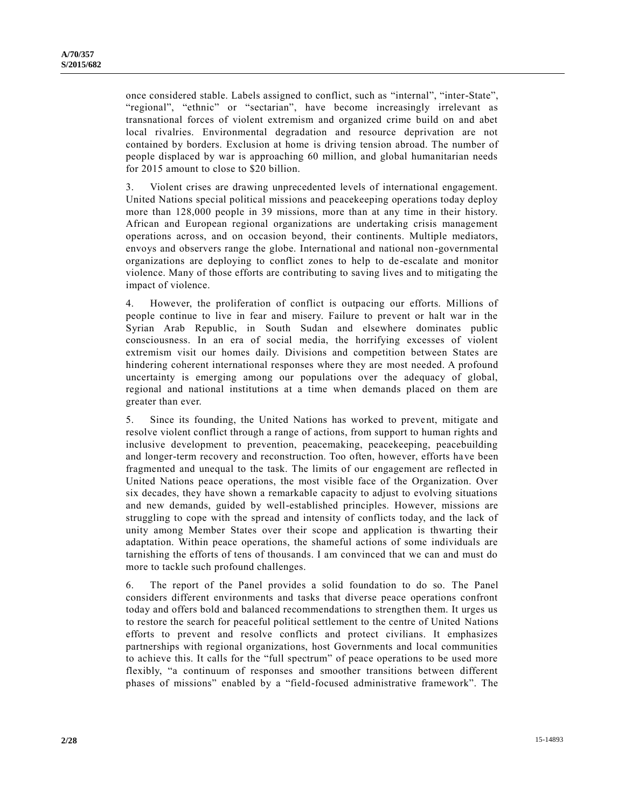once considered stable. Labels assigned to conflict, such as "internal", "inter-State", "regional", "ethnic" or "sectarian", have become increasingly irrelevant as transnational forces of violent extremism and organized crime build on and abet local rivalries. Environmental degradation and resource deprivation are not contained by borders. Exclusion at home is driving tension abroad. The number of people displaced by war is approaching 60 million, and global humanitarian needs for 2015 amount to close to \$20 billion.

3. Violent crises are drawing unprecedented levels of international engagement. United Nations special political missions and peacekeeping operations today deploy more than 128,000 people in 39 missions, more than at any time in their history. African and European regional organizations are undertaking crisis management operations across, and on occasion beyond, their continents. Multiple mediators, envoys and observers range the globe. International and national non-governmental organizations are deploying to conflict zones to help to de-escalate and monitor violence. Many of those efforts are contributing to saving lives and to mitigating the impact of violence.

4. However, the proliferation of conflict is outpacing our efforts. Millions of people continue to live in fear and misery. Failure to prevent or halt war in the Syrian Arab Republic, in South Sudan and elsewhere dominates public consciousness. In an era of social media, the horrifying excesses of violent extremism visit our homes daily. Divisions and competition between States are hindering coherent international responses where they are most needed. A profound uncertainty is emerging among our populations over the adequacy of global, regional and national institutions at a time when demands placed on them are greater than ever.

5. Since its founding, the United Nations has worked to prevent, mitigate and resolve violent conflict through a range of actions, from support to human rights and inclusive development to prevention, peacemaking, peacekeeping, peacebuilding and longer-term recovery and reconstruction. Too often, however, efforts have been fragmented and unequal to the task. The limits of our engagement are reflected in United Nations peace operations, the most visible face of the Organization. Over six decades, they have shown a remarkable capacity to adjust to evolving situations and new demands, guided by well-established principles. However, missions are struggling to cope with the spread and intensity of conflicts today, and the lack of unity among Member States over their scope and application is thwarting their adaptation. Within peace operations, the shameful actions of some individuals are tarnishing the efforts of tens of thousands. I am convinced that we can and must do more to tackle such profound challenges.

6. The report of the Panel provides a solid foundation to do so. The Panel considers different environments and tasks that diverse peace operations confront today and offers bold and balanced recommendations to strengthen them. It urges us to restore the search for peaceful political settlement to the centre of United Nations efforts to prevent and resolve conflicts and protect civilians. It emphasizes partnerships with regional organizations, host Governments and local communities to achieve this. It calls for the "full spectrum" of peace operations to be used more flexibly, "a continuum of responses and smoother transitions between different phases of missions" enabled by a "field-focused administrative framework". The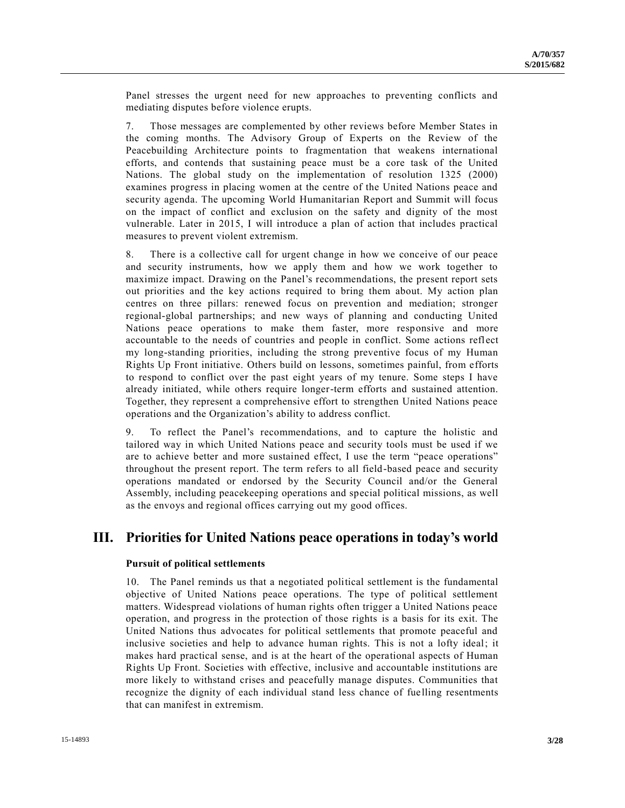Panel stresses the urgent need for new approaches to preventing conflicts and mediating disputes before violence erupts.

7. Those messages are complemented by other reviews before Member States in the coming months. The Advisory Group of Experts on the Review of the Peacebuilding Architecture points to fragmentation that weakens international efforts, and contends that sustaining peace must be a core task of the United Nations. The global study on the implementation of resolution 1325 (2000) examines progress in placing women at the centre of the United Nations peace and security agenda. The upcoming World Humanitarian Report and Summit will focus on the impact of conflict and exclusion on the safety and dignity of the most vulnerable. Later in 2015, I will introduce a plan of action that includes practical measures to prevent violent extremism.

8. There is a collective call for urgent change in how we conceive of our peace and security instruments, how we apply them and how we work together to maximize impact. Drawing on the Panel's recommendations, the present report sets out priorities and the key actions required to bring them about. My action plan centres on three pillars: renewed focus on prevention and mediation; stronger regional-global partnerships; and new ways of planning and conducting United Nations peace operations to make them faster, more responsive and more accountable to the needs of countries and people in conflict. Some actions reflect my long-standing priorities, including the strong preventive focus of my Human Rights Up Front initiative. Others build on lessons, sometimes painful, from efforts to respond to conflict over the past eight years of my tenure. Some steps I have already initiated, while others require longer-term efforts and sustained attention. Together, they represent a comprehensive effort to strengthen United Nations peace operations and the Organization's ability to address conflict.

9. To reflect the Panel's recommendations, and to capture the holistic and tailored way in which United Nations peace and security tools must be used if we are to achieve better and more sustained effect, I use the term "peace operations" throughout the present report. The term refers to all field-based peace and security operations mandated or endorsed by the Security Council and/or the General Assembly, including peacekeeping operations and special political missions, as well as the envoys and regional offices carrying out my good offices.

# **III. Priorities for United Nations peace operations in today's world**

## **Pursuit of political settlements**

10. The Panel reminds us that a negotiated political settlement is the fundamental objective of United Nations peace operations. The type of political settlement matters. Widespread violations of human rights often trigger a United Nations peace operation, and progress in the protection of those rights is a basis for its exit. The United Nations thus advocates for political settlements that promote peaceful and inclusive societies and help to advance human rights. This is not a lofty ideal; it makes hard practical sense, and is at the heart of the operational aspects of Human Rights Up Front. Societies with effective, inclusive and accountable institutions are more likely to withstand crises and peacefully manage disputes. Communities that recognize the dignity of each individual stand less chance of fuelling resentments that can manifest in extremism.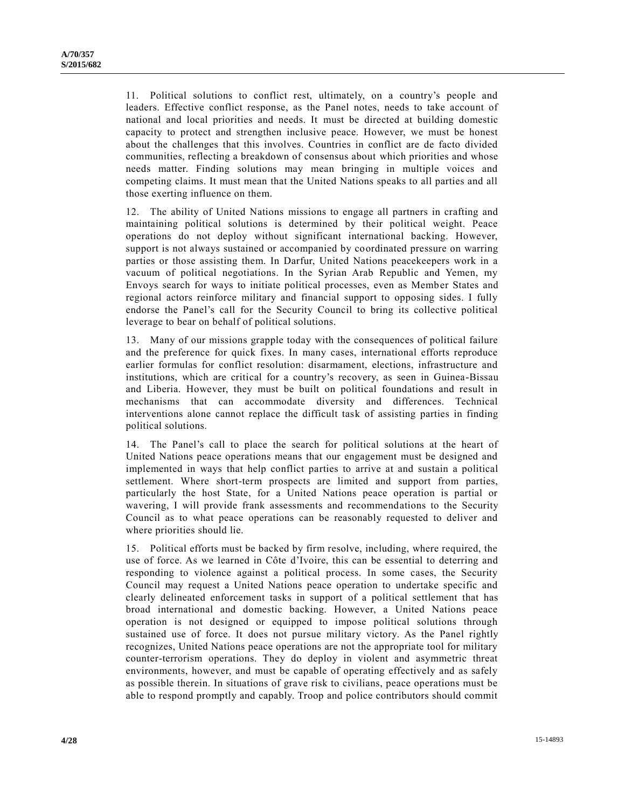11. Political solutions to conflict rest, ultimately, on a country's people and leaders. Effective conflict response, as the Panel notes, needs to take account of national and local priorities and needs. It must be directed at building domestic capacity to protect and strengthen inclusive peace. However, we must be honest about the challenges that this involves. Countries in conflict are de facto divided communities, reflecting a breakdown of consensus about which priorities and whose needs matter. Finding solutions may mean bringing in multiple voices and competing claims. It must mean that the United Nations speaks to all parties and all those exerting influence on them.

12. The ability of United Nations missions to engage all partners in crafting and maintaining political solutions is determined by their political weight. Peace operations do not deploy without significant international backing. However, support is not always sustained or accompanied by coordinated pressure on warring parties or those assisting them. In Darfur, United Nations peacekeepers work in a vacuum of political negotiations. In the Syrian Arab Republic and Yemen, my Envoys search for ways to initiate political processes, even as Member States and regional actors reinforce military and financial support to opposing sides. I fully endorse the Panel's call for the Security Council to bring its collective political leverage to bear on behalf of political solutions.

13. Many of our missions grapple today with the consequences of political failure and the preference for quick fixes. In many cases, international efforts reproduce earlier formulas for conflict resolution: disarmament, elections, infrastructure and institutions, which are critical for a country's recovery, as seen in Guinea-Bissau and Liberia. However, they must be built on political foundations and result in mechanisms that can accommodate diversity and differences. Technical interventions alone cannot replace the difficult task of assisting parties in finding political solutions.

14. The Panel's call to place the search for political solutions at the heart of United Nations peace operations means that our engagement must be designed and implemented in ways that help conflict parties to arrive at and sustain a political settlement. Where short-term prospects are limited and support from parties, particularly the host State, for a United Nations peace operation is partial or wavering, I will provide frank assessments and recommendations to the Security Council as to what peace operations can be reasonably requested to deliver and where priorities should lie.

15. Political efforts must be backed by firm resolve, including, where required, the use of force. As we learned in Côte d'Ivoire, this can be essential to deterring and responding to violence against a political process. In some cases, the Security Council may request a United Nations peace operation to undertake specific and clearly delineated enforcement tasks in support of a political settlement that has broad international and domestic backing. However, a United Nations peace operation is not designed or equipped to impose political solutions through sustained use of force. It does not pursue military victory. As the Panel rightly recognizes, United Nations peace operations are not the appropriate tool for military counter-terrorism operations. They do deploy in violent and asymmetric threat environments, however, and must be capable of operating effectively and as safely as possible therein. In situations of grave risk to civilians, peace operations must be able to respond promptly and capably. Troop and police contributors should commit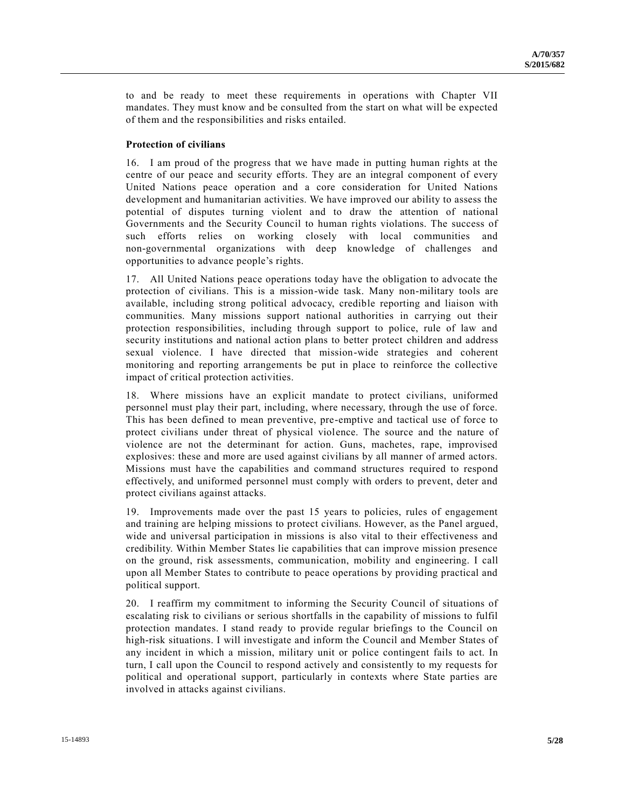to and be ready to meet these requirements in operations with Chapter VII mandates. They must know and be consulted from the start on what will be expected of them and the responsibilities and risks entailed.

#### **Protection of civilians**

16. I am proud of the progress that we have made in putting human rights at the centre of our peace and security efforts. They are an integral component of every United Nations peace operation and a core consideration for United Nations development and humanitarian activities. We have improved our ability to assess the potential of disputes turning violent and to draw the attention of national Governments and the Security Council to human rights violations. The success of such efforts relies on working closely with local communities and non-governmental organizations with deep knowledge of challenges and opportunities to advance people's rights.

17. All United Nations peace operations today have the obligation to advocate the protection of civilians. This is a mission-wide task. Many non-military tools are available, including strong political advocacy, credible reporting and liaison with communities. Many missions support national authorities in carrying out their protection responsibilities, including through support to police, rule of law and security institutions and national action plans to better protect children and address sexual violence. I have directed that mission-wide strategies and coherent monitoring and reporting arrangements be put in place to reinforce the collective impact of critical protection activities.

18. Where missions have an explicit mandate to protect civilians, uniformed personnel must play their part, including, where necessary, through the use of force. This has been defined to mean preventive, pre-emptive and tactical use of force to protect civilians under threat of physical violence. The source and the nature of violence are not the determinant for action. Guns, machetes, rape, improvised explosives: these and more are used against civilians by all manner of armed actors. Missions must have the capabilities and command structures required to respond effectively, and uniformed personnel must comply with orders to prevent, deter and protect civilians against attacks.

19. Improvements made over the past 15 years to policies, rules of engagement and training are helping missions to protect civilians. However, as the Panel argued, wide and universal participation in missions is also vital to their effectiveness and credibility. Within Member States lie capabilities that can improve mission presence on the ground, risk assessments, communication, mobility and engineering. I call upon all Member States to contribute to peace operations by providing practical and political support.

20. I reaffirm my commitment to informing the Security Council of situations of escalating risk to civilians or serious shortfalls in the capability of missions to fulfil protection mandates. I stand ready to provide regular briefings to the Council on high-risk situations. I will investigate and inform the Council and Member States of any incident in which a mission, military unit or police contingent fails to act. In turn, I call upon the Council to respond actively and consistently to my requests for political and operational support, particularly in contexts where State parties are involved in attacks against civilians.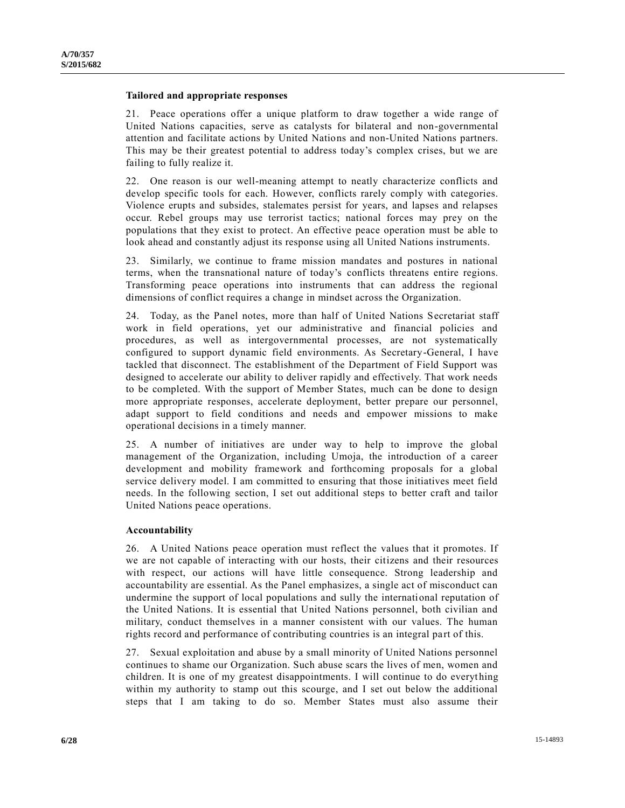#### **Tailored and appropriate responses**

21. Peace operations offer a unique platform to draw together a wide range of United Nations capacities, serve as catalysts for bilateral and non-governmental attention and facilitate actions by United Nations and non-United Nations partners. This may be their greatest potential to address today's complex crises, but we are failing to fully realize it.

22. One reason is our well-meaning attempt to neatly characterize conflicts and develop specific tools for each. However, conflicts rarely comply with categories. Violence erupts and subsides, stalemates persist for years, and lapses and relapses occur. Rebel groups may use terrorist tactics; national forces may prey on the populations that they exist to protect. An effective peace operation must be able to look ahead and constantly adjust its response using all United Nations instruments.

23. Similarly, we continue to frame mission mandates and postures in national terms, when the transnational nature of today's conflicts threatens entire regions. Transforming peace operations into instruments that can address the regional dimensions of conflict requires a change in mindset across the Organization.

24. Today, as the Panel notes, more than half of United Nations Secretariat staff work in field operations, yet our administrative and financial policies and procedures, as well as intergovernmental processes, are not systematically configured to support dynamic field environments. As Secretary-General, I have tackled that disconnect. The establishment of the Department of Field Support was designed to accelerate our ability to deliver rapidly and effectively. That work needs to be completed. With the support of Member States, much can be done to design more appropriate responses, accelerate deployment, better prepare our personnel, adapt support to field conditions and needs and empower missions to make operational decisions in a timely manner.

25. A number of initiatives are under way to help to improve the global management of the Organization, including Umoja, the introduction of a career development and mobility framework and forthcoming proposals for a global service delivery model. I am committed to ensuring that those initiatives meet field needs. In the following section, I set out additional steps to better craft and tailor United Nations peace operations.

#### **Accountability**

26. A United Nations peace operation must reflect the values that it promotes. If we are not capable of interacting with our hosts, their citizens and their resources with respect, our actions will have little consequence. Strong leadership and accountability are essential. As the Panel emphasizes, a single act of misconduct can undermine the support of local populations and sully the international reputation of the United Nations. It is essential that United Nations personnel, both civilian and military, conduct themselves in a manner consistent with our values. The human rights record and performance of contributing countries is an integral part of this.

27. Sexual exploitation and abuse by a small minority of United Nations personnel continues to shame our Organization. Such abuse scars the lives of men, women and children. It is one of my greatest disappointments. I will continue to do everything within my authority to stamp out this scourge, and I set out below the additional steps that I am taking to do so. Member States must also assume their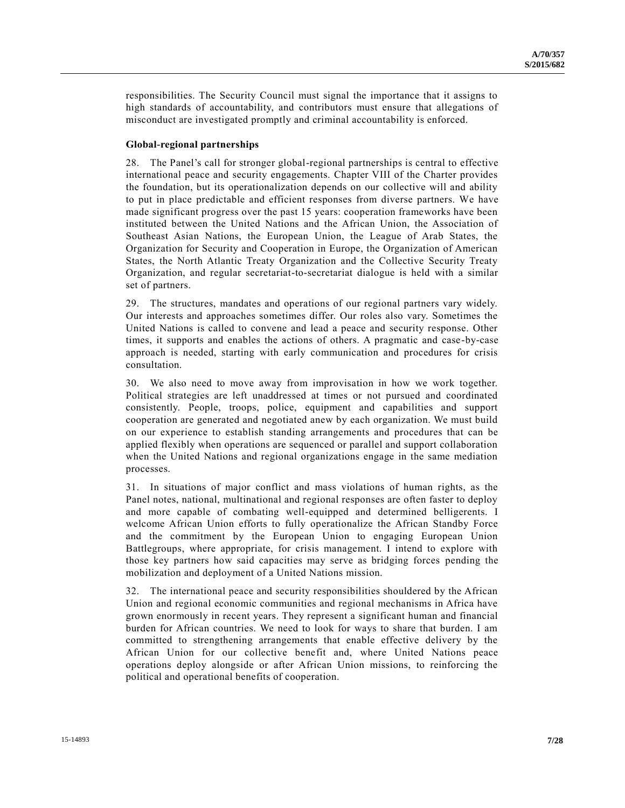responsibilities. The Security Council must signal the importance that it assigns to high standards of accountability, and contributors must ensure that allegations of misconduct are investigated promptly and criminal accountability is enforced.

#### **Global-regional partnerships**

28. The Panel's call for stronger global-regional partnerships is central to effective international peace and security engagements. Chapter VIII of the Charter provides the foundation, but its operationalization depends on our collective will and ability to put in place predictable and efficient responses from diverse partners. We have made significant progress over the past 15 years: cooperation frameworks have been instituted between the United Nations and the African Union, the Association of Southeast Asian Nations, the European Union, the League of Arab States, the Organization for Security and Cooperation in Europe, the Organization of American States, the North Atlantic Treaty Organization and the Collective Security Treaty Organization, and regular secretariat-to-secretariat dialogue is held with a similar set of partners.

29. The structures, mandates and operations of our regional partners vary widely. Our interests and approaches sometimes differ. Our roles also vary. Sometimes the United Nations is called to convene and lead a peace and security response. Other times, it supports and enables the actions of others. A pragmatic and case-by-case approach is needed, starting with early communication and procedures for crisis consultation.

30. We also need to move away from improvisation in how we work together. Political strategies are left unaddressed at times or not pursued and coordinated consistently. People, troops, police, equipment and capabilities and support cooperation are generated and negotiated anew by each organization. We must build on our experience to establish standing arrangements and procedures that can be applied flexibly when operations are sequenced or parallel and support collaboration when the United Nations and regional organizations engage in the same mediation processes.

31. In situations of major conflict and mass violations of human rights, as the Panel notes, national, multinational and regional responses are often faster to deploy and more capable of combating well-equipped and determined belligerents. I welcome African Union efforts to fully operationalize the African Standby Force and the commitment by the European Union to engaging European Union Battlegroups, where appropriate, for crisis management. I intend to explore with those key partners how said capacities may serve as bridging forces pending the mobilization and deployment of a United Nations mission.

32. The international peace and security responsibilities shouldered by the African Union and regional economic communities and regional mechanisms in Africa have grown enormously in recent years. They represent a significant human and financial burden for African countries. We need to look for ways to share that burden. I am committed to strengthening arrangements that enable effective delivery by the African Union for our collective benefit and, where United Nations peace operations deploy alongside or after African Union missions, to reinforcing the political and operational benefits of cooperation.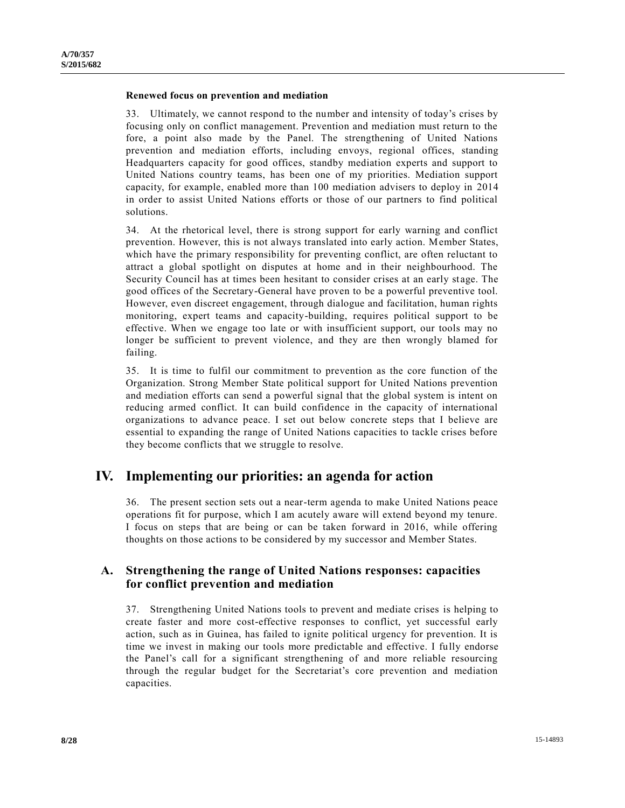#### **Renewed focus on prevention and mediation**

33. Ultimately, we cannot respond to the number and intensity of today's crises by focusing only on conflict management. Prevention and mediation must return to the fore, a point also made by the Panel. The strengthening of United Nations prevention and mediation efforts, including envoys, regional offices, standing Headquarters capacity for good offices, standby mediation experts and support to United Nations country teams, has been one of my priorities. Mediation support capacity, for example, enabled more than 100 mediation advisers to deploy in 2014 in order to assist United Nations efforts or those of our partners to find political solutions.

34. At the rhetorical level, there is strong support for early warning and conflict prevention. However, this is not always translated into early action. Member States, which have the primary responsibility for preventing conflict, are often reluctant to attract a global spotlight on disputes at home and in their neighbourhood. The Security Council has at times been hesitant to consider crises at an early stage. The good offices of the Secretary-General have proven to be a powerful preventive tool. However, even discreet engagement, through dialogue and facilitation, human rights monitoring, expert teams and capacity-building, requires political support to be effective. When we engage too late or with insufficient support, our tools may no longer be sufficient to prevent violence, and they are then wrongly blamed for failing.

35. It is time to fulfil our commitment to prevention as the core function of the Organization. Strong Member State political support for United Nations prevention and mediation efforts can send a powerful signal that the global system is intent on reducing armed conflict. It can build confidence in the capacity of international organizations to advance peace. I set out below concrete steps that I believe are essential to expanding the range of United Nations capacities to tackle crises before they become conflicts that we struggle to resolve.

# **IV. Implementing our priorities: an agenda for action**

36. The present section sets out a near-term agenda to make United Nations peace operations fit for purpose, which I am acutely aware will extend beyond my tenure. I focus on steps that are being or can be taken forward in 2016, while offering thoughts on those actions to be considered by my successor and Member States.

## **A. Strengthening the range of United Nations responses: capacities for conflict prevention and mediation**

37. Strengthening United Nations tools to prevent and mediate crises is helping to create faster and more cost-effective responses to conflict, yet successful early action, such as in Guinea, has failed to ignite political urgency for prevention. It is time we invest in making our tools more predictable and effective. I fully endorse the Panel's call for a significant strengthening of and more reliable resourcing through the regular budget for the Secretariat's core prevention and mediation capacities.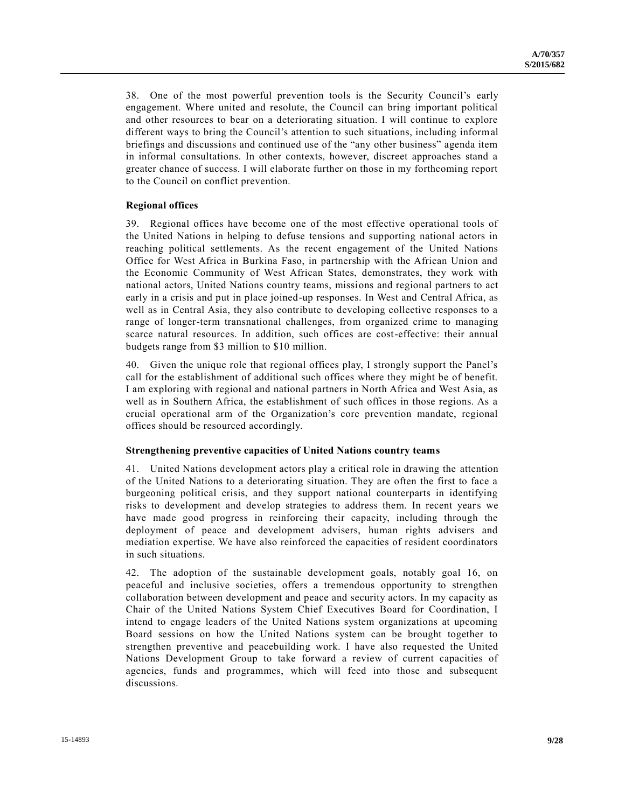38. One of the most powerful prevention tools is the Security Council's early engagement. Where united and resolute, the Council can bring important political and other resources to bear on a deteriorating situation. I will continue to explore different ways to bring the Council's attention to such situations, including informal briefings and discussions and continued use of the "any other business" agenda item in informal consultations. In other contexts, however, discreet approaches stand a greater chance of success. I will elaborate further on those in my forthcoming report to the Council on conflict prevention.

## **Regional offices**

39. Regional offices have become one of the most effective operational tools of the United Nations in helping to defuse tensions and supporting national actors in reaching political settlements. As the recent engagement of the United Nations Office for West Africa in Burkina Faso, in partnership with the African Union and the Economic Community of West African States, demonstrates, they work with national actors, United Nations country teams, missions and regional partners to act early in a crisis and put in place joined-up responses. In West and Central Africa, as well as in Central Asia, they also contribute to developing collective responses to a range of longer-term transnational challenges, from organized crime to managing scarce natural resources. In addition, such offices are cost-effective: their annual budgets range from \$3 million to \$10 million.

40. Given the unique role that regional offices play, I strongly support the Panel's call for the establishment of additional such offices where they might be of benefit. I am exploring with regional and national partners in North Africa and West Asia, as well as in Southern Africa, the establishment of such offices in those regions. As a crucial operational arm of the Organization's core prevention mandate, regional offices should be resourced accordingly.

#### **Strengthening preventive capacities of United Nations country teams**

41. United Nations development actors play a critical role in drawing the attention of the United Nations to a deteriorating situation. They are often the first to face a burgeoning political crisis, and they support national counterparts in identifying risks to development and develop strategies to address them. In recent years we have made good progress in reinforcing their capacity, including through the deployment of peace and development advisers, human rights advisers and mediation expertise. We have also reinforced the capacities of resident coordinators in such situations.

42. The adoption of the sustainable development goals, notably goal 16, on peaceful and inclusive societies, offers a tremendous opportunity to strengthen collaboration between development and peace and security actors. In my capacity as Chair of the United Nations System Chief Executives Board for Coordination, I intend to engage leaders of the United Nations system organizations at upcoming Board sessions on how the United Nations system can be brought together to strengthen preventive and peacebuilding work. I have also requested the United Nations Development Group to take forward a review of current capacities of agencies, funds and programmes, which will feed into those and subsequent discussions.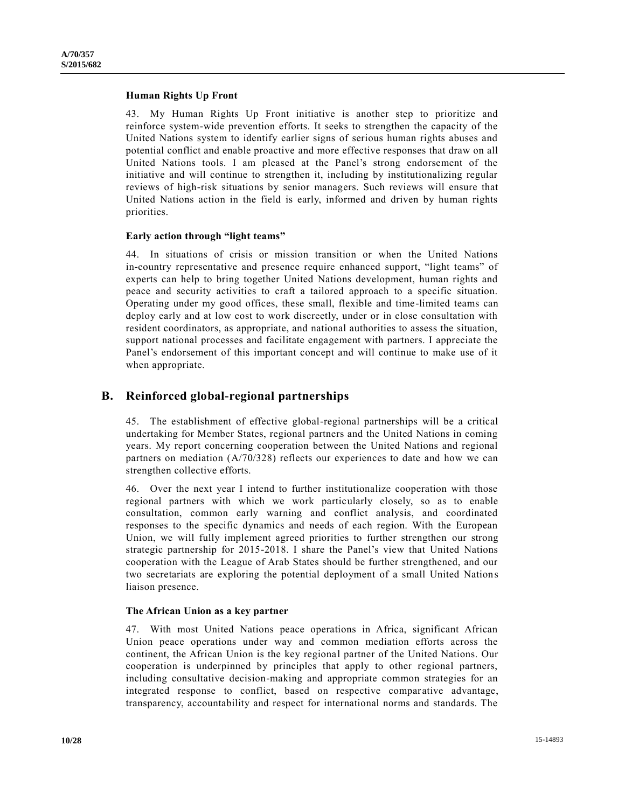### **Human Rights Up Front**

43. My Human Rights Up Front initiative is another step to prioritize and reinforce system-wide prevention efforts. It seeks to strengthen the capacity of the United Nations system to identify earlier signs of serious human rights abuses and potential conflict and enable proactive and more effective responses that draw on all United Nations tools. I am pleased at the Panel's strong endorsement of the initiative and will continue to strengthen it, including by institutionalizing regular reviews of high-risk situations by senior managers. Such reviews will ensure that United Nations action in the field is early, informed and driven by human rights priorities.

#### **Early action through "light teams"**

44. In situations of crisis or mission transition or when the United Nations in-country representative and presence require enhanced support, "light teams" of experts can help to bring together United Nations development, human rights and peace and security activities to craft a tailored approach to a specific situation. Operating under my good offices, these small, flexible and time-limited teams can deploy early and at low cost to work discreetly, under or in close consultation with resident coordinators, as appropriate, and national authorities to assess the situation, support national processes and facilitate engagement with partners. I appreciate the Panel's endorsement of this important concept and will continue to make use of it when appropriate.

## **B. Reinforced global-regional partnerships**

45. The establishment of effective global-regional partnerships will be a critical undertaking for Member States, regional partners and the United Nations in coming years. My report concerning cooperation between the United Nations and regional partners on mediation [\(A/70/328\)](http://undocs.org/A/70/328) reflects our experiences to date and how we can strengthen collective efforts.

46. Over the next year I intend to further institutionalize cooperation with those regional partners with which we work particularly closely, so as to enable consultation, common early warning and conflict analysis, and coordinated responses to the specific dynamics and needs of each region. With the European Union, we will fully implement agreed priorities to further strengthen our strong strategic partnership for 2015-2018. I share the Panel's view that United Nations cooperation with the League of Arab States should be further strengthened, and our two secretariats are exploring the potential deployment of a small United Nations liaison presence.

## **The African Union as a key partner**

47. With most United Nations peace operations in Africa, significant African Union peace operations under way and common mediation efforts across the continent, the African Union is the key regional partner of the United Nations. Our cooperation is underpinned by principles that apply to other regional partners, including consultative decision-making and appropriate common strategies for an integrated response to conflict, based on respective comparative advantage, transparency, accountability and respect for international norms and standards. The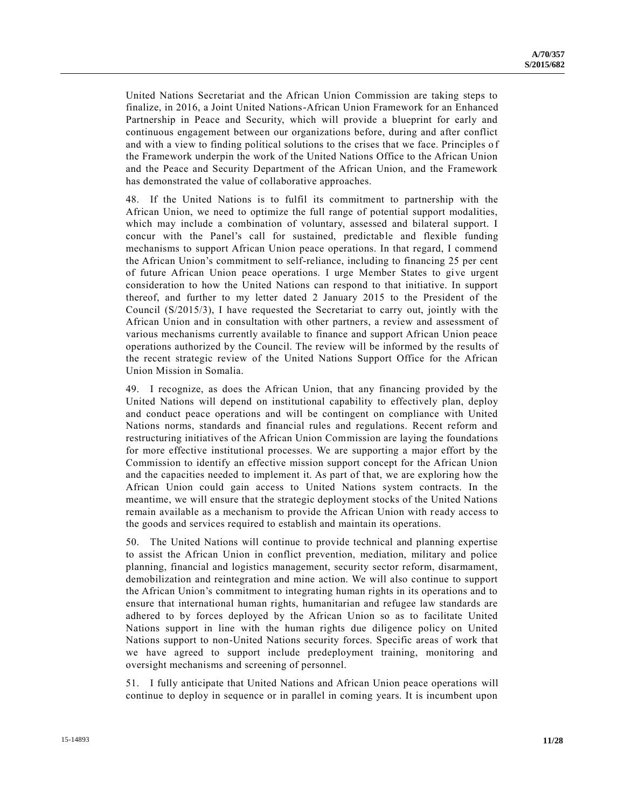United Nations Secretariat and the African Union Commission are taking steps to finalize, in 2016, a Joint United Nations-African Union Framework for an Enhanced Partnership in Peace and Security, which will provide a blueprint for early and continuous engagement between our organizations before, during and after conflict and with a view to finding political solutions to the crises that we face. Principles o f the Framework underpin the work of the United Nations Office to the African Union and the Peace and Security Department of the African Union, and the Framework has demonstrated the value of collaborative approaches.

48. If the United Nations is to fulfil its commitment to partnership with the African Union, we need to optimize the full range of potential support modalities, which may include a combination of voluntary, assessed and bilateral support. I concur with the Panel's call for sustained, predictable and flexible funding mechanisms to support African Union peace operations. In that regard, I commend the African Union's commitment to self-reliance, including to financing 25 per cent of future African Union peace operations. I urge Member States to give urgent consideration to how the United Nations can respond to that initiative. In support thereof, and further to my letter dated 2 January 2015 to the President of the Council [\(S/2015/3\)](http://undocs.org/S/2015/3), I have requested the Secretariat to carry out, jointly with the African Union and in consultation with other partners, a review and assessment of various mechanisms currently available to finance and support African Union peace operations authorized by the Council. The review will be informed by the results of the recent strategic review of the United Nations Support Office for the African Union Mission in Somalia.

49. I recognize, as does the African Union, that any financing provided by the United Nations will depend on institutional capability to effectively plan, deploy and conduct peace operations and will be contingent on compliance with United Nations norms, standards and financial rules and regulations. Recent reform and restructuring initiatives of the African Union Commission are laying the foundations for more effective institutional processes. We are supporting a major effort by the Commission to identify an effective mission support concept for the African Union and the capacities needed to implement it. As part of that, we are exploring how the African Union could gain access to United Nations system contracts. In the meantime, we will ensure that the strategic deployment stocks of the United Nations remain available as a mechanism to provide the African Union with ready access to the goods and services required to establish and maintain its operations.

50. The United Nations will continue to provide technical and planning expertise to assist the African Union in conflict prevention, mediation, military and police planning, financial and logistics management, security sector reform, disarmament, demobilization and reintegration and mine action. We will also continue to support the African Union's commitment to integrating human rights in its operations and to ensure that international human rights, humanitarian and refugee law standards are adhered to by forces deployed by the African Union so as to facilitate United Nations support in line with the human rights due diligence policy on United Nations support to non-United Nations security forces. Specific areas of work that we have agreed to support include predeployment training, monitoring and oversight mechanisms and screening of personnel.

51. I fully anticipate that United Nations and African Union peace operations will continue to deploy in sequence or in parallel in coming years. It is incumbent upon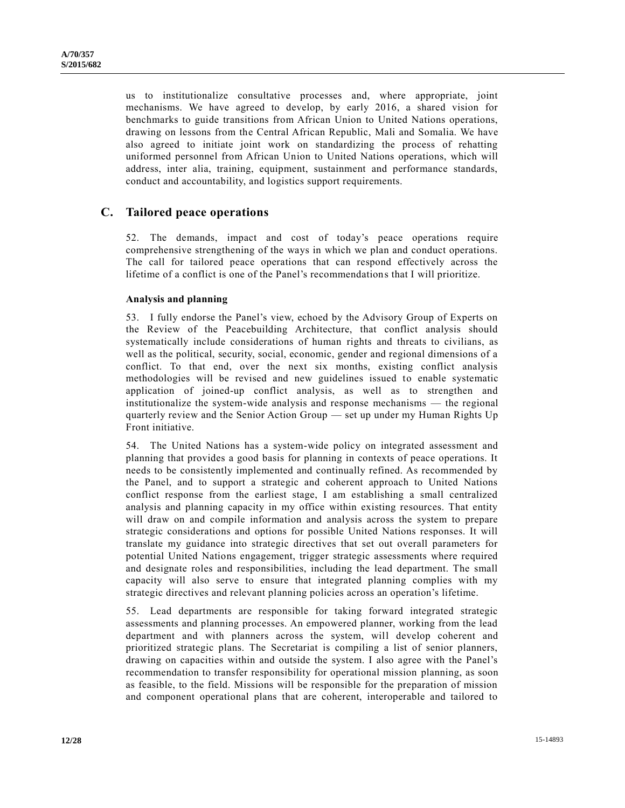us to institutionalize consultative processes and, where appropriate, joint mechanisms. We have agreed to develop, by early 2016, a shared vision for benchmarks to guide transitions from African Union to United Nations operations, drawing on lessons from the Central African Republic, Mali and Somalia. We have also agreed to initiate joint work on standardizing the process of rehatting uniformed personnel from African Union to United Nations operations, which will address, inter alia, training, equipment, sustainment and performance standards, conduct and accountability, and logistics support requirements.

## **C. Tailored peace operations**

52. The demands, impact and cost of today's peace operations require comprehensive strengthening of the ways in which we plan and conduct operations. The call for tailored peace operations that can respond effectively across the lifetime of a conflict is one of the Panel's recommendations that I will prioritize.

#### **Analysis and planning**

53. I fully endorse the Panel's view, echoed by the Advisory Group of Experts on the Review of the Peacebuilding Architecture, that conflict analysis should systematically include considerations of human rights and threats to civilians, as well as the political, security, social, economic, gender and regional dimensions of a conflict. To that end, over the next six months, existing conflict analysis methodologies will be revised and new guidelines issued to enable systematic application of joined-up conflict analysis, as well as to strengthen and institutionalize the system-wide analysis and response mechanisms — the regional quarterly review and the Senior Action Group — set up under my Human Rights Up Front initiative.

54. The United Nations has a system-wide policy on integrated assessment and planning that provides a good basis for planning in contexts of peace operations. It needs to be consistently implemented and continually refined. As recommended by the Panel, and to support a strategic and coherent approach to United Nations conflict response from the earliest stage, I am establishing a small centralized analysis and planning capacity in my office within existing resources. That entity will draw on and compile information and analysis across the system to prepare strategic considerations and options for possible United Nations responses. It will translate my guidance into strategic directives that set out overall parameters for potential United Nations engagement, trigger strategic assessments where required and designate roles and responsibilities, including the lead department. The small capacity will also serve to ensure that integrated planning complies with my strategic directives and relevant planning policies across an operation's lifetime.

55. Lead departments are responsible for taking forward integrated strategic assessments and planning processes. An empowered planner, working from the lead department and with planners across the system, will develop coherent and prioritized strategic plans. The Secretariat is compiling a list of senior planners, drawing on capacities within and outside the system. I also agree with the Panel's recommendation to transfer responsibility for operational mission planning, as soon as feasible, to the field. Missions will be responsible for the preparation of mission and component operational plans that are coherent, interoperable and tailored to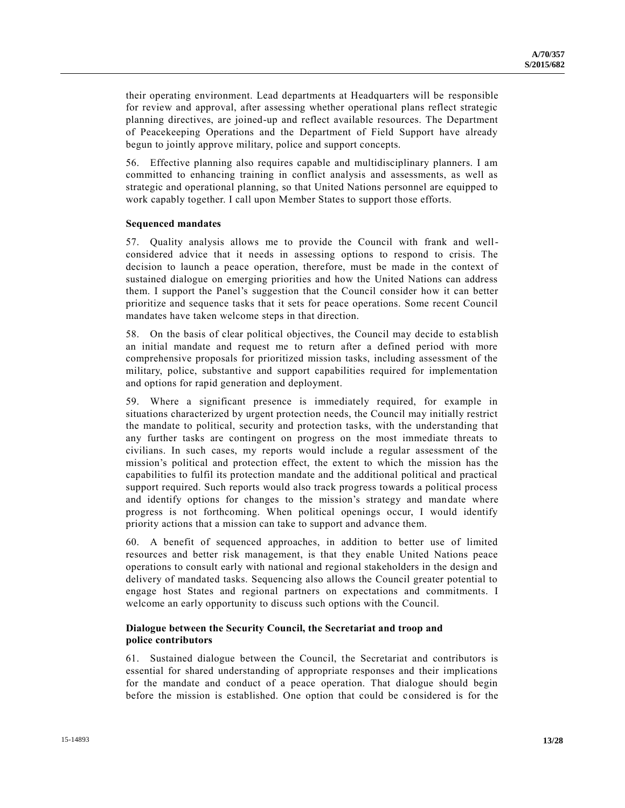their operating environment. Lead departments at Headquarters will be responsible for review and approval, after assessing whether operational plans reflect strategic planning directives, are joined-up and reflect available resources. The Department of Peacekeeping Operations and the Department of Field Support have already begun to jointly approve military, police and support concepts.

56. Effective planning also requires capable and multidisciplinary planners. I am committed to enhancing training in conflict analysis and assessments, as well as strategic and operational planning, so that United Nations personnel are equipped to work capably together. I call upon Member States to support those efforts.

#### **Sequenced mandates**

57. Quality analysis allows me to provide the Council with frank and wellconsidered advice that it needs in assessing options to respond to crisis. The decision to launch a peace operation, therefore, must be made in the context of sustained dialogue on emerging priorities and how the United Nations can address them. I support the Panel's suggestion that the Council consider how it can better prioritize and sequence tasks that it sets for peace operations. Some recent Council mandates have taken welcome steps in that direction.

58. On the basis of clear political objectives, the Council may decide to esta blish an initial mandate and request me to return after a defined period with more comprehensive proposals for prioritized mission tasks, including assessment of the military, police, substantive and support capabilities required for implementation and options for rapid generation and deployment.

59. Where a significant presence is immediately required, for example in situations characterized by urgent protection needs, the Council may initially restrict the mandate to political, security and protection tasks, with the understanding that any further tasks are contingent on progress on the most immediate threats to civilians. In such cases, my reports would include a regular assessment of the mission's political and protection effect, the extent to which the mission has the capabilities to fulfil its protection mandate and the additional political and practical support required. Such reports would also track progress towards a political process and identify options for changes to the mission's strategy and mandate where progress is not forthcoming. When political openings occur, I would identify priority actions that a mission can take to support and advance them.

60. A benefit of sequenced approaches, in addition to better use of limited resources and better risk management, is that they enable United Nations peace operations to consult early with national and regional stakeholders in the design and delivery of mandated tasks. Sequencing also allows the Council greater potential to engage host States and regional partners on expectations and commitments. I welcome an early opportunity to discuss such options with the Council.

#### **Dialogue between the Security Council, the Secretariat and troop and police contributors**

61. Sustained dialogue between the Council, the Secretariat and contributors is essential for shared understanding of appropriate responses and their implications for the mandate and conduct of a peace operation. That dialogue should begin before the mission is established. One option that could be considered is for the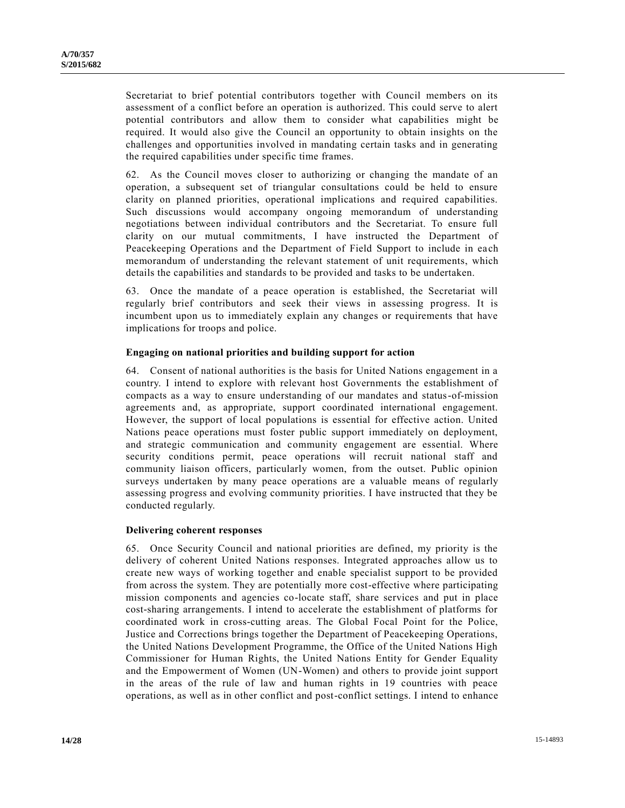Secretariat to brief potential contributors together with Council members on its assessment of a conflict before an operation is authorized. This could serve to alert potential contributors and allow them to consider what capabilities might be required. It would also give the Council an opportunity to obtain insights on the challenges and opportunities involved in mandating certain tasks and in generating the required capabilities under specific time frames.

62. As the Council moves closer to authorizing or changing the mandate of an operation, a subsequent set of triangular consultations could be held to ensure clarity on planned priorities, operational implications and required capabilities. Such discussions would accompany ongoing memorandum of understanding negotiations between individual contributors and the Secretariat. To ensure full clarity on our mutual commitments, I have instructed the Department of Peacekeeping Operations and the Department of Field Support to include in each memorandum of understanding the relevant statement of unit requirements, which details the capabilities and standards to be provided and tasks to be undertaken.

63. Once the mandate of a peace operation is established, the Secretariat will regularly brief contributors and seek their views in assessing progress. It is incumbent upon us to immediately explain any changes or requirements that have implications for troops and police.

#### **Engaging on national priorities and building support for action**

64. Consent of national authorities is the basis for United Nations engagement in a country. I intend to explore with relevant host Governments the establishment of compacts as a way to ensure understanding of our mandates and status-of-mission agreements and, as appropriate, support coordinated international engagement. However, the support of local populations is essential for effective action. United Nations peace operations must foster public support immediately on deployment, and strategic communication and community engagement are essential. Where security conditions permit, peace operations will recruit national staff and community liaison officers, particularly women, from the outset. Public opinion surveys undertaken by many peace operations are a valuable means of regularly assessing progress and evolving community priorities. I have instructed that they be conducted regularly.

#### **Delivering coherent responses**

65. Once Security Council and national priorities are defined, my priority is the delivery of coherent United Nations responses. Integrated approaches allow us to create new ways of working together and enable specialist support to be provided from across the system. They are potentially more cost-effective where participating mission components and agencies co-locate staff, share services and put in place cost-sharing arrangements. I intend to accelerate the establishment of platforms for coordinated work in cross-cutting areas. The Global Focal Point for the Police, Justice and Corrections brings together the Department of Peacekeeping Operations, the United Nations Development Programme, the Office of the United Nations High Commissioner for Human Rights, the United Nations Entity for Gender Equality and the Empowerment of Women (UN-Women) and others to provide joint support in the areas of the rule of law and human rights in 19 countries with peace operations, as well as in other conflict and post-conflict settings. I intend to enhance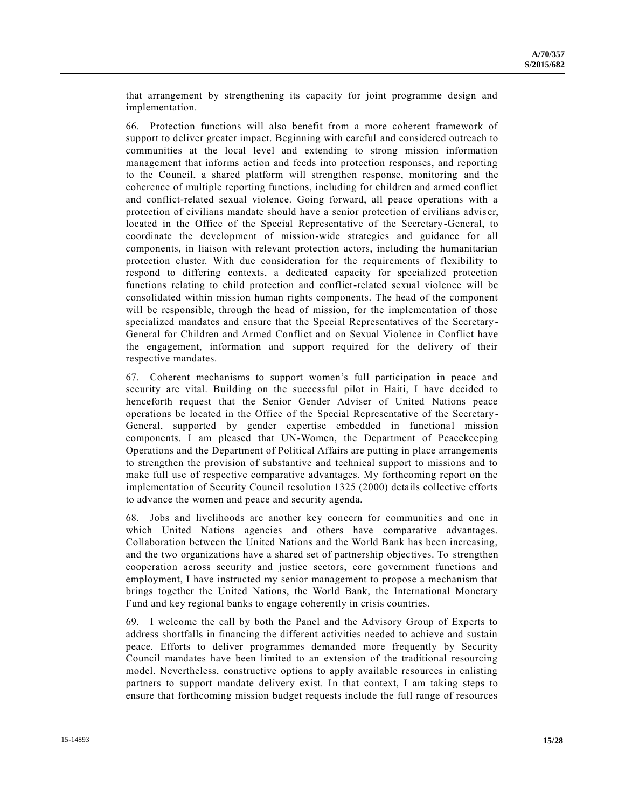that arrangement by strengthening its capacity for joint programme design and implementation.

66. Protection functions will also benefit from a more coherent framework of support to deliver greater impact. Beginning with careful and considered outreach to communities at the local level and extending to strong mission information management that informs action and feeds into protection responses, and reporting to the Council, a shared platform will strengthen response, monitoring and the coherence of multiple reporting functions, including for children and armed conflict and conflict-related sexual violence. Going forward, all peace operations with a protection of civilians mandate should have a senior protection of civilians advis er, located in the Office of the Special Representative of the Secretary-General, to coordinate the development of mission-wide strategies and guidance for all components, in liaison with relevant protection actors, including the humanitarian protection cluster. With due consideration for the requirements of flexibility to respond to differing contexts, a dedicated capacity for specialized protection functions relating to child protection and conflict-related sexual violence will be consolidated within mission human rights components. The head of the component will be responsible, through the head of mission, for the implementation of those specialized mandates and ensure that the Special Representatives of the Secretary-General for Children and Armed Conflict and on Sexual Violence in Conflict have the engagement, information and support required for the delivery of their respective mandates.

67. Coherent mechanisms to support women's full participation in peace and security are vital. Building on the successful pilot in Haiti, I have decided to henceforth request that the Senior Gender Adviser of United Nations peace operations be located in the Office of the Special Representative of the Secretary-General, supported by gender expertise embedded in functional mission components. I am pleased that UN-Women, the Department of Peacekeeping Operations and the Department of Political Affairs are putting in place arrangements to strengthen the provision of substantive and technical support to missions and to make full use of respective comparative advantages. My forthcoming report on the implementation of Security Council resolution 1325 (2000) details collective efforts to advance the women and peace and security agenda.

68. Jobs and livelihoods are another key concern for communities and one in which United Nations agencies and others have comparative advantages. Collaboration between the United Nations and the World Bank has been increasing, and the two organizations have a shared set of partnership objectives. To strengthen cooperation across security and justice sectors, core government functions and employment, I have instructed my senior management to propose a mechanism that brings together the United Nations, the World Bank, the International Monetary Fund and key regional banks to engage coherently in crisis countries.

69. I welcome the call by both the Panel and the Advisory Group of Experts to address shortfalls in financing the different activities needed to achieve and sustain peace. Efforts to deliver programmes demanded more frequently by Security Council mandates have been limited to an extension of the traditional resourcing model. Nevertheless, constructive options to apply available resources in enlisting partners to support mandate delivery exist. In that context, I am taking steps to ensure that forthcoming mission budget requests include the full range of resources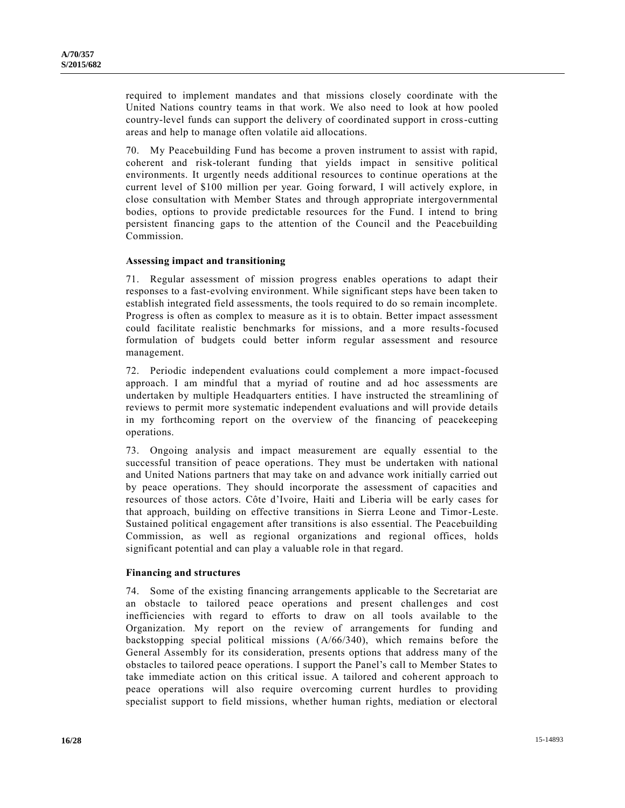required to implement mandates and that missions closely coordinate with the United Nations country teams in that work. We also need to look at how pooled country-level funds can support the delivery of coordinated support in cross-cutting areas and help to manage often volatile aid allocations.

70. My Peacebuilding Fund has become a proven instrument to assist with rapid, coherent and risk-tolerant funding that yields impact in sensitive political environments. It urgently needs additional resources to continue operations at the current level of \$100 million per year. Going forward, I will actively explore, in close consultation with Member States and through appropriate intergovernmental bodies, options to provide predictable resources for the Fund. I intend to bring persistent financing gaps to the attention of the Council and the Peacebuilding Commission.

#### **Assessing impact and transitioning**

71. Regular assessment of mission progress enables operations to adapt their responses to a fast-evolving environment. While significant steps have been taken to establish integrated field assessments, the tools required to do so remain incomplete. Progress is often as complex to measure as it is to obtain. Better impact assessment could facilitate realistic benchmarks for missions, and a more results-focused formulation of budgets could better inform regular assessment and resource management.

72. Periodic independent evaluations could complement a more impact-focused approach. I am mindful that a myriad of routine and ad hoc assessments are undertaken by multiple Headquarters entities. I have instructed the streamlining of reviews to permit more systematic independent evaluations and will provide details in my forthcoming report on the overview of the financing of peacekeeping operations.

73. Ongoing analysis and impact measurement are equally essential to the successful transition of peace operations. They must be undertaken with national and United Nations partners that may take on and advance work initially carried out by peace operations. They should incorporate the assessment of capacities and resources of those actors. Côte d'Ivoire, Haiti and Liberia will be early cases for that approach, building on effective transitions in Sierra Leone and Timor-Leste. Sustained political engagement after transitions is also essential. The Peacebuilding Commission, as well as regional organizations and regional offices, holds significant potential and can play a valuable role in that regard.

## **Financing and structures**

74. Some of the existing financing arrangements applicable to the Secretariat are an obstacle to tailored peace operations and present challenges and cost inefficiencies with regard to efforts to draw on all tools available to the Organization. My report on the review of arrangements for funding and backstopping special political missions [\(A/66/340\)](http://undocs.org/A/66/340), which remains before the General Assembly for its consideration, presents options that address many of the obstacles to tailored peace operations. I support the Panel's call to Member States to take immediate action on this critical issue. A tailored and coherent approach to peace operations will also require overcoming current hurdles to providing specialist support to field missions, whether human rights, mediation or electoral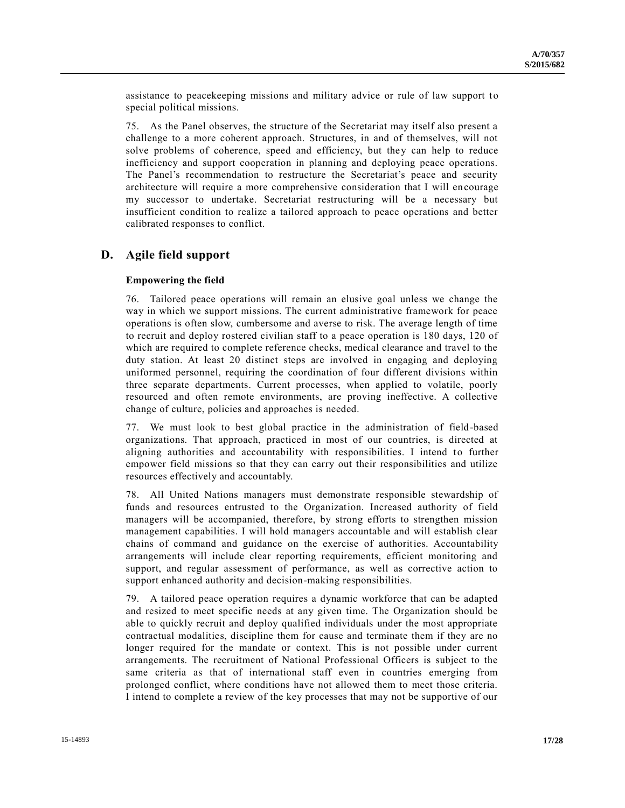assistance to peacekeeping missions and military advice or rule of law support to special political missions.

75. As the Panel observes, the structure of the Secretariat may itself also present a challenge to a more coherent approach. Structures, in and of themselves, will not solve problems of coherence, speed and efficiency, but they can help to reduce inefficiency and support cooperation in planning and deploying peace operations. The Panel's recommendation to restructure the Secretariat's peace and security architecture will require a more comprehensive consideration that I will encourage my successor to undertake. Secretariat restructuring will be a necessary but insufficient condition to realize a tailored approach to peace operations and better calibrated responses to conflict.

# **D. Agile field support**

## **Empowering the field**

76. Tailored peace operations will remain an elusive goal unless we change the way in which we support missions. The current administrative framework for peace operations is often slow, cumbersome and averse to risk. The average length of time to recruit and deploy rostered civilian staff to a peace operation is 180 days, 120 of which are required to complete reference checks, medical clearance and travel to the duty station. At least 20 distinct steps are involved in engaging and deploying uniformed personnel, requiring the coordination of four different divisions within three separate departments. Current processes, when applied to volatile, poorly resourced and often remote environments, are proving ineffective. A collective change of culture, policies and approaches is needed.

77. We must look to best global practice in the administration of field-based organizations. That approach, practiced in most of our countries, is directed at aligning authorities and accountability with responsibilities. I intend to further empower field missions so that they can carry out their responsibilities and utilize resources effectively and accountably.

78. All United Nations managers must demonstrate responsible stewardship of funds and resources entrusted to the Organization. Increased authority of field managers will be accompanied, therefore, by strong efforts to strengthen mission management capabilities. I will hold managers accountable and will establish clear chains of command and guidance on the exercise of authorities. Accountability arrangements will include clear reporting requirements, efficient monitoring and support, and regular assessment of performance, as well as corrective action to support enhanced authority and decision-making responsibilities.

79. A tailored peace operation requires a dynamic workforce that can be adapted and resized to meet specific needs at any given time. The Organization should be able to quickly recruit and deploy qualified individuals under the most appropriate contractual modalities, discipline them for cause and terminate them if they are no longer required for the mandate or context. This is not possible under current arrangements. The recruitment of National Professional Officers is subject to the same criteria as that of international staff even in countries emerging from prolonged conflict, where conditions have not allowed them to meet those criteria. I intend to complete a review of the key processes that may not be supportive of our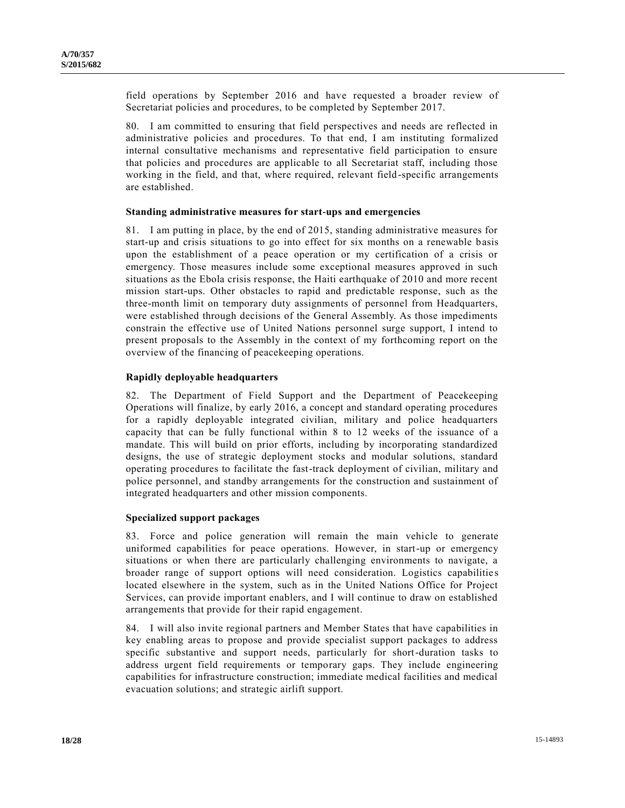field operations by September 2016 and have requested a broader review of Secretariat policies and procedures, to be completed by September 2017.

80. I am committed to ensuring that field perspectives and needs are reflected in administrative policies and procedures. To that end, I am instituting formalized internal consultative mechanisms and representative field participation to ensure that policies and procedures are applicable to all Secretariat staff, including those working in the field, and that, where required, relevant field-specific arrangements are established.

#### **Standing administrative measures for start-ups and emergencies**

81. I am putting in place, by the end of 2015, standing administrative measures for start-up and crisis situations to go into effect for six months on a renewable basis upon the establishment of a peace operation or my certification of a crisis or emergency. Those measures include some exceptional measures approved in such situations as the Ebola crisis response, the Haiti earthquake of 2010 and more recent mission start-ups. Other obstacles to rapid and predictable response, such as the three-month limit on temporary duty assignments of personnel from Headquarters, were established through decisions of the General Assembly. As those impediments constrain the effective use of United Nations personnel surge support, I intend to present proposals to the Assembly in the context of my forthcoming report on the overview of the financing of peacekeeping operations.

#### **Rapidly deployable headquarters**

82. The Department of Field Support and the Department of Peacekeeping Operations will finalize, by early 2016, a concept and standard operating procedures for a rapidly deployable integrated civilian, military and police headquarters capacity that can be fully functional within 8 to 12 weeks of the issuance of a mandate. This will build on prior efforts, including by incorporating standardized designs, the use of strategic deployment stocks and modular solutions, standard operating procedures to facilitate the fast-track deployment of civilian, military and police personnel, and standby arrangements for the construction and sustainment of integrated headquarters and other mission components.

#### **Specialized support packages**

83. Force and police generation will remain the main vehicle to generate uniformed capabilities for peace operations. However, in start-up or emergency situations or when there are particularly challenging environments to navigate, a broader range of support options will need consideration. Logistics capabilities located elsewhere in the system, such as in the United Nations Office for Project Services, can provide important enablers, and I will continue to draw on established arrangements that provide for their rapid engagement.

84. I will also invite regional partners and Member States that have capabilities in key enabling areas to propose and provide specialist support packages to address specific substantive and support needs, particularly for short-duration tasks to address urgent field requirements or temporary gaps. They include engineering capabilities for infrastructure construction; immediate medical facilities and medical evacuation solutions; and strategic airlift support.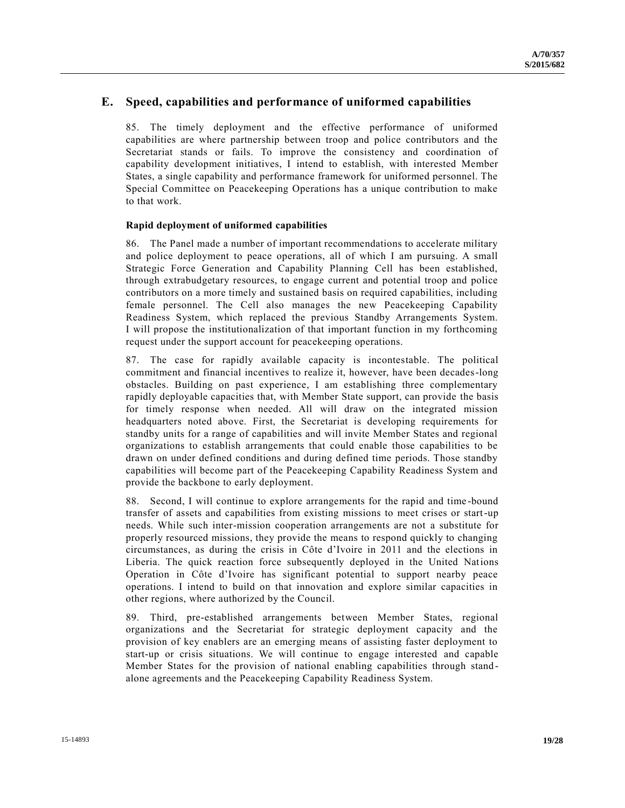# **E. Speed, capabilities and performance of uniformed capabilities**

85. The timely deployment and the effective performance of uniformed capabilities are where partnership between troop and police contributors and the Secretariat stands or fails. To improve the consistency and coordination of capability development initiatives, I intend to establish, with interested Member States, a single capability and performance framework for uniformed personnel. The Special Committee on Peacekeeping Operations has a unique contribution to make to that work.

#### **Rapid deployment of uniformed capabilities**

86. The Panel made a number of important recommendations to accelerate military and police deployment to peace operations, all of which I am pursuing. A small Strategic Force Generation and Capability Planning Cell has been established, through extrabudgetary resources, to engage current and potential troop and police contributors on a more timely and sustained basis on required capabilities, including female personnel. The Cell also manages the new Peacekeeping Capability Readiness System, which replaced the previous Standby Arrangements System. I will propose the institutionalization of that important function in my forthcoming request under the support account for peacekeeping operations.

87. The case for rapidly available capacity is incontestable. The political commitment and financial incentives to realize it, however, have been decades-long obstacles. Building on past experience, I am establishing three complementary rapidly deployable capacities that, with Member State support, can provide the basis for timely response when needed. All will draw on the integrated mission headquarters noted above. First, the Secretariat is developing requirements for standby units for a range of capabilities and will invite Member States and regional organizations to establish arrangements that could enable those capabilities to be drawn on under defined conditions and during defined time periods. Those standby capabilities will become part of the Peacekeeping Capability Readiness System and provide the backbone to early deployment.

88. Second, I will continue to explore arrangements for the rapid and time -bound transfer of assets and capabilities from existing missions to meet crises or start-up needs. While such inter-mission cooperation arrangements are not a substitute for properly resourced missions, they provide the means to respond quickly to changing circumstances, as during the crisis in Côte d'Ivoire in 2011 and the elections in Liberia. The quick reaction force subsequently deployed in the United Nations Operation in Côte d'Ivoire has significant potential to support nearby peace operations. I intend to build on that innovation and explore similar capacities in other regions, where authorized by the Council.

89. Third, pre-established arrangements between Member States, regional organizations and the Secretariat for strategic deployment capacity and the provision of key enablers are an emerging means of assisting faster deployment to start-up or crisis situations. We will continue to engage interested and capable Member States for the provision of national enabling capabilities through stand alone agreements and the Peacekeeping Capability Readiness System.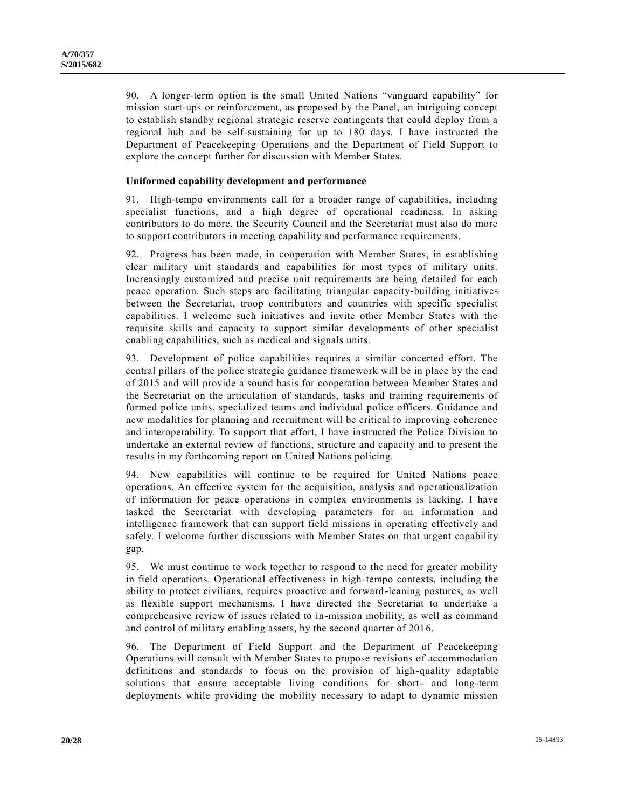90. A longer-term option is the small United Nations "vanguard capability" for mission start-ups or reinforcement, as proposed by the Panel, an intriguing concept to establish standby regional strategic reserve contingents that could deploy from a regional hub and be self-sustaining for up to 180 days. I have instructed the Department of Peacekeeping Operations and the Department of Field Support to explore the concept further for discussion with Member States.

#### **Uniformed capability development and performance**

91. High-tempo environments call for a broader range of capabilities, including specialist functions, and a high degree of operational readiness. In asking contributors to do more, the Security Council and the Secretariat must also do more to support contributors in meeting capability and performance requirements.

92. Progress has been made, in cooperation with Member States, in establishing clear military unit standards and capabilities for most types of military units. Increasingly customized and precise unit requirements are being detailed for each peace operation. Such steps are facilitating triangular capacity-building initiatives between the Secretariat, troop contributors and countries with specific specialist capabilities. I welcome such initiatives and invite other Member States with the requisite skills and capacity to support similar developments of other specialist enabling capabilities, such as medical and signals units.

93. Development of police capabilities requires a similar concerted effort. The central pillars of the police strategic guidance framework will be in place by the end of 2015 and will provide a sound basis for cooperation between Member States and the Secretariat on the articulation of standards, tasks and training requirements of formed police units, specialized teams and individual police officers. Guidance and new modalities for planning and recruitment will be critical to improving coherence and interoperability. To support that effort, I have instructed the Police Division to undertake an external review of functions, structure and capacity and to present the results in my forthcoming report on United Nations policing.

94. New capabilities will continue to be required for United Nations peace operations. An effective system for the acquisition, analysis and operationalization of information for peace operations in complex environments is lacking. I have tasked the Secretariat with developing parameters for an information and intelligence framework that can support field missions in operating effectively and safely. I welcome further discussions with Member States on that urgent capability gap.

95. We must continue to work together to respond to the need for greater mobility in field operations. Operational effectiveness in high-tempo contexts, including the ability to protect civilians, requires proactive and forward-leaning postures, as well as flexible support mechanisms. I have directed the Secretariat to undertake a comprehensive review of issues related to in-mission mobility, as well as command and control of military enabling assets, by the second quarter of 2016.

96. The Department of Field Support and the Department of Peacekeeping Operations will consult with Member States to propose revisions of accommodation definitions and standards to focus on the provision of high-quality adaptable solutions that ensure acceptable living conditions for short- and long-term deployments while providing the mobility necessary to adapt to dynamic mission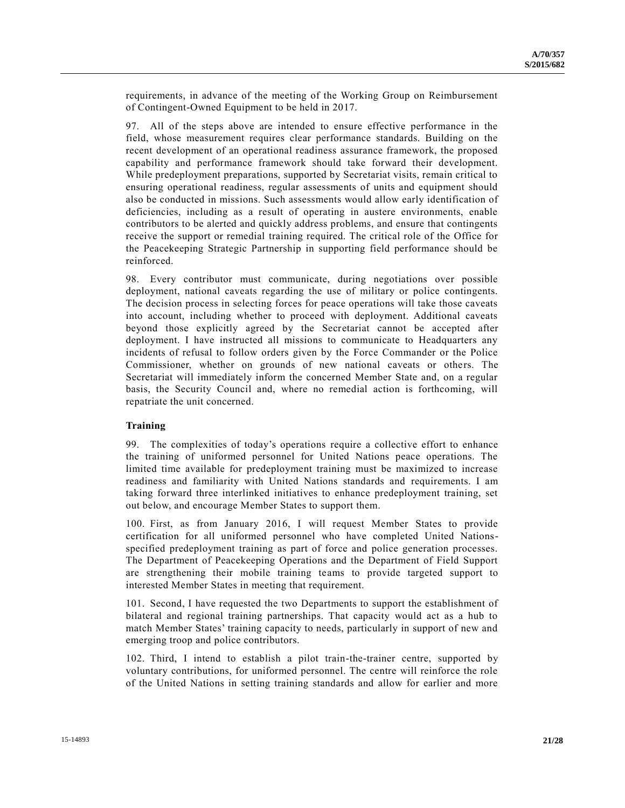requirements, in advance of the meeting of the Working Group on Reimbursement of Contingent-Owned Equipment to be held in 2017.

97. All of the steps above are intended to ensure effective performance in the field, whose measurement requires clear performance standards. Building on the recent development of an operational readiness assurance framework, the proposed capability and performance framework should take forward their development. While predeployment preparations, supported by Secretariat visits, remain critical to ensuring operational readiness, regular assessments of units and equipment should also be conducted in missions. Such assessments would allow early identification of deficiencies, including as a result of operating in austere environments, enable contributors to be alerted and quickly address problems, and ensure that contingents receive the support or remedial training required. The critical role of the Office for the Peacekeeping Strategic Partnership in supporting field performance should be reinforced.

98. Every contributor must communicate, during negotiations over possible deployment, national caveats regarding the use of military or police contingents. The decision process in selecting forces for peace operations will take those caveats into account, including whether to proceed with deployment. Additional caveats beyond those explicitly agreed by the Secretariat cannot be accepted after deployment. I have instructed all missions to communicate to Headquarters any incidents of refusal to follow orders given by the Force Commander or the Police Commissioner, whether on grounds of new national caveats or others. The Secretariat will immediately inform the concerned Member State and, on a regular basis, the Security Council and, where no remedial action is forthcoming, will repatriate the unit concerned.

## **Training**

99. The complexities of today's operations require a collective effort to enhance the training of uniformed personnel for United Nations peace operations. The limited time available for predeployment training must be maximized to increase readiness and familiarity with United Nations standards and requirements. I am taking forward three interlinked initiatives to enhance predeployment training, set out below, and encourage Member States to support them.

100. First, as from January 2016, I will request Member States to provide certification for all uniformed personnel who have completed United Nationsspecified predeployment training as part of force and police generation processes. The Department of Peacekeeping Operations and the Department of Field Support are strengthening their mobile training teams to provide targeted support to interested Member States in meeting that requirement.

101. Second, I have requested the two Departments to support the establishment of bilateral and regional training partnerships. That capacity would act as a hub to match Member States' training capacity to needs, particularly in support of new and emerging troop and police contributors.

102. Third, I intend to establish a pilot train-the-trainer centre, supported by voluntary contributions, for uniformed personnel. The centre will reinforce the role of the United Nations in setting training standards and allow for earlier and more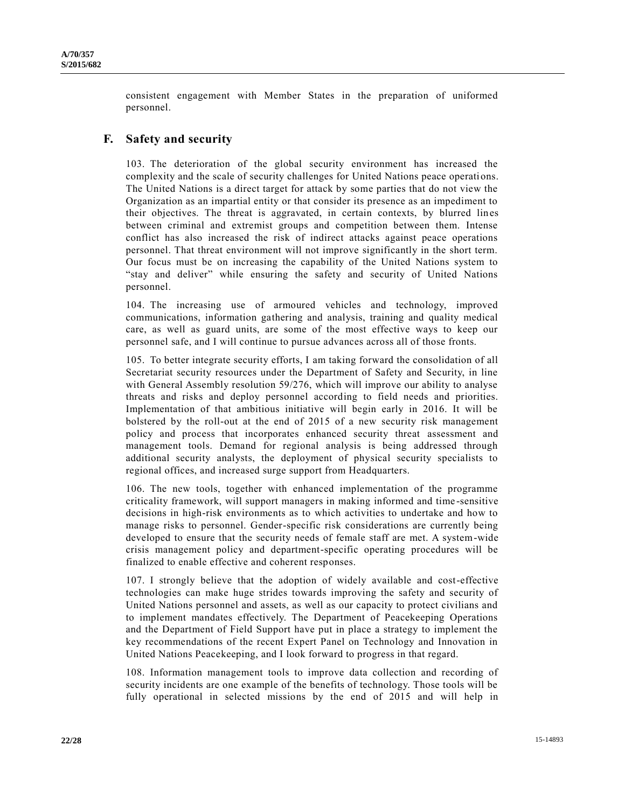consistent engagement with Member States in the preparation of uniformed personnel.

## **F. Safety and security**

103. The deterioration of the global security environment has increased the complexity and the scale of security challenges for United Nations peace operati ons. The United Nations is a direct target for attack by some parties that do not view the Organization as an impartial entity or that consider its presence as an impediment to their objectives. The threat is aggravated, in certain contexts, by blurred lines between criminal and extremist groups and competition between them. Intense conflict has also increased the risk of indirect attacks against peace operations personnel. That threat environment will not improve significantly in the short term. Our focus must be on increasing the capability of the United Nations system to "stay and deliver" while ensuring the safety and security of United Nations personnel.

104. The increasing use of armoured vehicles and technology, improved communications, information gathering and analysis, training and quality medical care, as well as guard units, are some of the most effective ways to keep our personnel safe, and I will continue to pursue advances across all of those fronts.

105. To better integrate security efforts, I am taking forward the consolidation of all Secretariat security resources under the Department of Safety and Security, in line with General Assembly resolution 59/276, which will improve our ability to analyse threats and risks and deploy personnel according to field needs and priorities. Implementation of that ambitious initiative will begin early in 2016. It will be bolstered by the roll-out at the end of 2015 of a new security risk management policy and process that incorporates enhanced security threat assessment and management tools. Demand for regional analysis is being addressed through additional security analysts, the deployment of physical security specialists to regional offices, and increased surge support from Headquarters.

106. The new tools, together with enhanced implementation of the programme criticality framework, will support managers in making informed and time -sensitive decisions in high-risk environments as to which activities to undertake and how to manage risks to personnel. Gender-specific risk considerations are currently being developed to ensure that the security needs of female staff are met. A system-wide crisis management policy and department-specific operating procedures will be finalized to enable effective and coherent responses.

107. I strongly believe that the adoption of widely available and cost-effective technologies can make huge strides towards improving the safety and security of United Nations personnel and assets, as well as our capacity to protect civilians and to implement mandates effectively. The Department of Peacekeeping Operations and the Department of Field Support have put in place a strategy to implement the key recommendations of the recent Expert Panel on Technology and Innovation in United Nations Peacekeeping, and I look forward to progress in that regard.

108. Information management tools to improve data collection and recording of security incidents are one example of the benefits of technology. Those tools will be fully operational in selected missions by the end of 2015 and will help in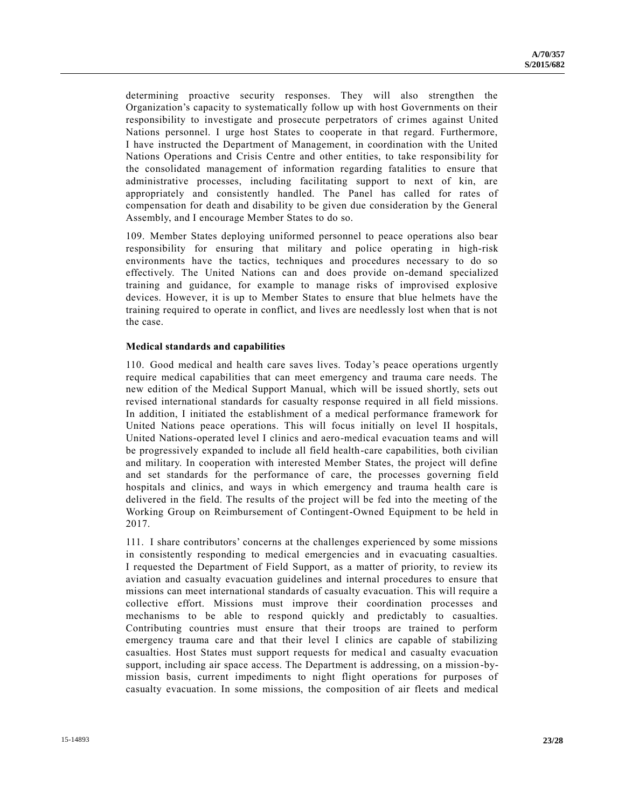determining proactive security responses. They will also strengthen the Organization's capacity to systematically follow up with host Governments on their responsibility to investigate and prosecute perpetrators of crimes against United Nations personnel. I urge host States to cooperate in that regard. Furthermore, I have instructed the Department of Management, in coordination with the United Nations Operations and Crisis Centre and other entities, to take responsibility for the consolidated management of information regarding fatalities to ensure that administrative processes, including facilitating support to next of kin, are appropriately and consistently handled. The Panel has called for rates of compensation for death and disability to be given due consideration by the General Assembly, and I encourage Member States to do so.

109. Member States deploying uniformed personnel to peace operations also bear responsibility for ensuring that military and police operating in high-risk environments have the tactics, techniques and procedures necessary to do so effectively. The United Nations can and does provide on-demand specialized training and guidance, for example to manage risks of improvised explosive devices. However, it is up to Member States to ensure that blue helmets have the training required to operate in conflict, and lives are needlessly lost when that is not the case.

#### **Medical standards and capabilities**

110. Good medical and health care saves lives. Today's peace operations urgently require medical capabilities that can meet emergency and trauma care needs. The new edition of the Medical Support Manual, which will be issued shortly, sets out revised international standards for casualty response required in all field missions. In addition, I initiated the establishment of a medical performance framework for United Nations peace operations. This will focus initially on level II hospitals, United Nations-operated level I clinics and aero-medical evacuation teams and will be progressively expanded to include all field health-care capabilities, both civilian and military. In cooperation with interested Member States, the project will define and set standards for the performance of care, the processes governing field hospitals and clinics, and ways in which emergency and trauma health care is delivered in the field. The results of the project will be fed into the meeting of the Working Group on Reimbursement of Contingent-Owned Equipment to be held in 2017.

111. I share contributors' concerns at the challenges experienced by some missions in consistently responding to medical emergencies and in evacuating casualties. I requested the Department of Field Support, as a matter of priority, to review its aviation and casualty evacuation guidelines and internal procedures to ensure that missions can meet international standards of casualty evacuation. This will require a collective effort. Missions must improve their coordination processes and mechanisms to be able to respond quickly and predictably to casualties. Contributing countries must ensure that their troops are trained to perform emergency trauma care and that their level I clinics are capable of stabilizing casualties. Host States must support requests for medical and casualty evacuation support, including air space access. The Department is addressing, on a mission -bymission basis, current impediments to night flight operations for purposes of casualty evacuation. In some missions, the composition of air fleets and medical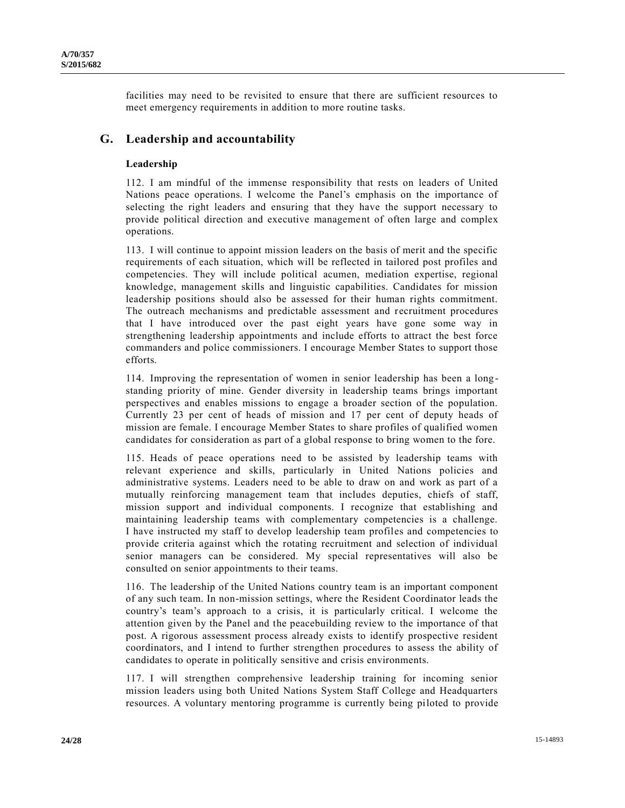facilities may need to be revisited to ensure that there are sufficient resources to meet emergency requirements in addition to more routine tasks.

# **G. Leadership and accountability**

## **Leadership**

112. I am mindful of the immense responsibility that rests on leaders of United Nations peace operations. I welcome the Panel's emphasis on the importance of selecting the right leaders and ensuring that they have the support necessary to provide political direction and executive management of often large and complex operations.

113. I will continue to appoint mission leaders on the basis of merit and the specific requirements of each situation, which will be reflected in tailored post profiles and competencies. They will include political acumen, mediation expertise, regional knowledge, management skills and linguistic capabilities. Candidates for mission leadership positions should also be assessed for their human rights commitment. The outreach mechanisms and predictable assessment and recruitment procedures that I have introduced over the past eight years have gone some way in strengthening leadership appointments and include efforts to attract the best force commanders and police commissioners. I encourage Member States to support those efforts.

114. Improving the representation of women in senior leadership has been a long standing priority of mine. Gender diversity in leadership teams brings important perspectives and enables missions to engage a broader section of the population. Currently 23 per cent of heads of mission and 17 per cent of deputy heads of mission are female. I encourage Member States to share profiles of qualified women candidates for consideration as part of a global response to bring women to the fore.

115. Heads of peace operations need to be assisted by leadership teams with relevant experience and skills, particularly in United Nations policies and administrative systems. Leaders need to be able to draw on and work as part of a mutually reinforcing management team that includes deputies, chiefs of staff, mission support and individual components. I recognize that establishing and maintaining leadership teams with complementary competencies is a challenge. I have instructed my staff to develop leadership team profiles and competencies to provide criteria against which the rotating recruitment and selection of individual senior managers can be considered. My special representatives will also be consulted on senior appointments to their teams.

116. The leadership of the United Nations country team is an important component of any such team. In non-mission settings, where the Resident Coordinator leads the country's team's approach to a crisis, it is particularly critical. I welcome the attention given by the Panel and the peacebuilding review to the importance of that post. A rigorous assessment process already exists to identify prospective resident coordinators, and I intend to further strengthen procedures to assess the ability of candidates to operate in politically sensitive and crisis environments.

117. I will strengthen comprehensive leadership training for incoming senior mission leaders using both United Nations System Staff College and Headquarters resources. A voluntary mentoring programme is currently being piloted to provide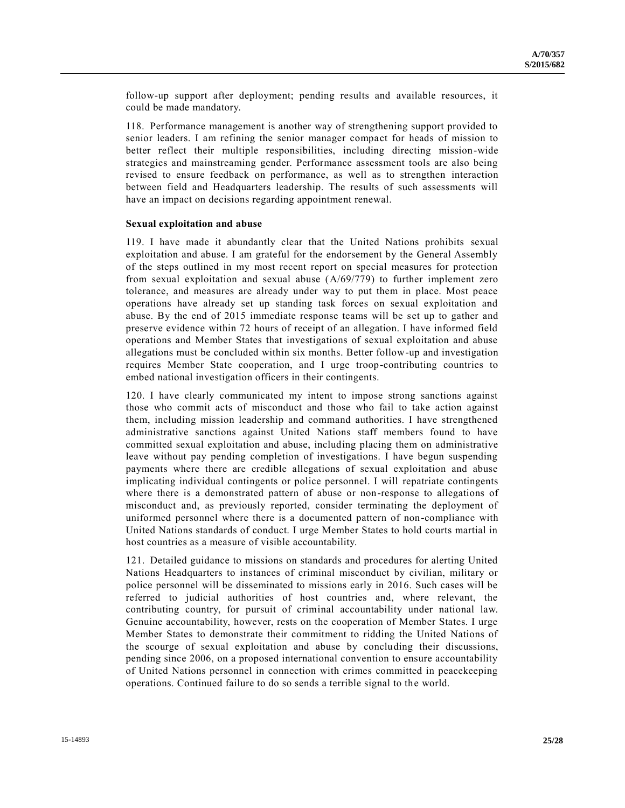follow-up support after deployment; pending results and available resources, it could be made mandatory.

118. Performance management is another way of strengthening support provided to senior leaders. I am refining the senior manager compact for heads of mission to better reflect their multiple responsibilities, including directing mission-wide strategies and mainstreaming gender. Performance assessment tools are also being revised to ensure feedback on performance, as well as to strengthen interaction between field and Headquarters leadership. The results of such assessments will have an impact on decisions regarding appointment renewal.

#### **Sexual exploitation and abuse**

119. I have made it abundantly clear that the United Nations prohibits sexual exploitation and abuse. I am grateful for the endorsement by the General Assembly of the steps outlined in my most recent report on special measures for protection from sexual exploitation and sexual abuse [\(A/69/779\)](http://undocs.org/A/69/779) to further implement zero tolerance, and measures are already under way to put them in place. Most peace operations have already set up standing task forces on sexual exploitation and abuse. By the end of 2015 immediate response teams will be set up to gather and preserve evidence within 72 hours of receipt of an allegation. I have informed field operations and Member States that investigations of sexual exploitation and abuse allegations must be concluded within six months. Better follow-up and investigation requires Member State cooperation, and I urge troop-contributing countries to embed national investigation officers in their contingents.

120. I have clearly communicated my intent to impose strong sanctions against those who commit acts of misconduct and those who fail to take action against them, including mission leadership and command authorities. I have strengthened administrative sanctions against United Nations staff members found to have committed sexual exploitation and abuse, including placing them on administrative leave without pay pending completion of investigations. I have begun suspending payments where there are credible allegations of sexual exploitation and abuse implicating individual contingents or police personnel. I will repatriate contingents where there is a demonstrated pattern of abuse or non-response to allegations of misconduct and, as previously reported, consider terminating the deployment of uniformed personnel where there is a documented pattern of non-compliance with United Nations standards of conduct. I urge Member States to hold courts martial in host countries as a measure of visible accountability.

121. Detailed guidance to missions on standards and procedures for alerting United Nations Headquarters to instances of criminal misconduct by civilian, military or police personnel will be disseminated to missions early in 2016. Such cases will be referred to judicial authorities of host countries and, where relevant, the contributing country, for pursuit of criminal accountability under national law. Genuine accountability, however, rests on the cooperation of Member States. I urge Member States to demonstrate their commitment to ridding the United Nations of the scourge of sexual exploitation and abuse by concluding their discussions, pending since 2006, on a proposed international convention to ensure accountability of United Nations personnel in connection with crimes committed in peacekeeping operations. Continued failure to do so sends a terrible signal to the world.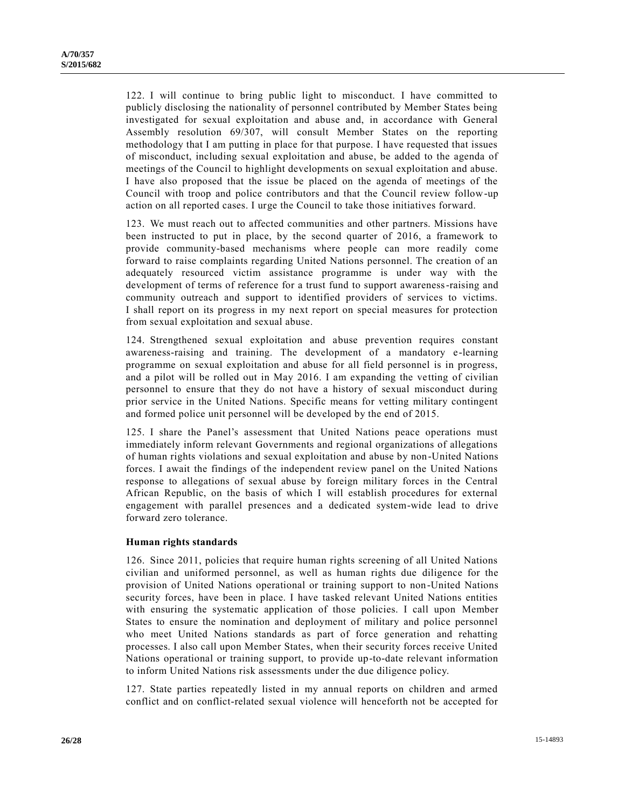122. I will continue to bring public light to misconduct. I have committed to publicly disclosing the nationality of personnel contributed by Member States being investigated for sexual exploitation and abuse and, in accordance with General Assembly resolution 69/307, will consult Member States on the reporting methodology that I am putting in place for that purpose. I have requested that issues of misconduct, including sexual exploitation and abuse, be added to the agenda of meetings of the Council to highlight developments on sexual exploitation and abuse. I have also proposed that the issue be placed on the agenda of meetings of the Council with troop and police contributors and that the Council review follow-up action on all reported cases. I urge the Council to take those initiatives forward.

123. We must reach out to affected communities and other partners. Missions have been instructed to put in place, by the second quarter of 2016, a framework to provide community-based mechanisms where people can more readily come forward to raise complaints regarding United Nations personnel. The creation of an adequately resourced victim assistance programme is under way with the development of terms of reference for a trust fund to support awareness-raising and community outreach and support to identified providers of services to victims. I shall report on its progress in my next report on special measures for protection from sexual exploitation and sexual abuse.

124. Strengthened sexual exploitation and abuse prevention requires constant awareness-raising and training. The development of a mandatory e-learning programme on sexual exploitation and abuse for all field personnel is in progress, and a pilot will be rolled out in May 2016. I am expanding the vetting of civilian personnel to ensure that they do not have a history of sexual misconduct during prior service in the United Nations. Specific means for vetting military contingent and formed police unit personnel will be developed by the end of 2015.

125. I share the Panel's assessment that United Nations peace operations must immediately inform relevant Governments and regional organizations of allegations of human rights violations and sexual exploitation and abuse by non-United Nations forces. I await the findings of the independent review panel on the United Nations response to allegations of sexual abuse by foreign military forces in the Central African Republic, on the basis of which I will establish procedures for external engagement with parallel presences and a dedicated system-wide lead to drive forward zero tolerance.

## **Human rights standards**

126. Since 2011, policies that require human rights screening of all United Nations civilian and uniformed personnel, as well as human rights due diligence for the provision of United Nations operational or training support to non-United Nations security forces, have been in place. I have tasked relevant United Nations entities with ensuring the systematic application of those policies. I call upon Member States to ensure the nomination and deployment of military and police personnel who meet United Nations standards as part of force generation and rehatting processes. I also call upon Member States, when their security forces receive United Nations operational or training support, to provide up-to-date relevant information to inform United Nations risk assessments under the due diligence policy.

127. State parties repeatedly listed in my annual reports on children and armed conflict and on conflict-related sexual violence will henceforth not be accepted for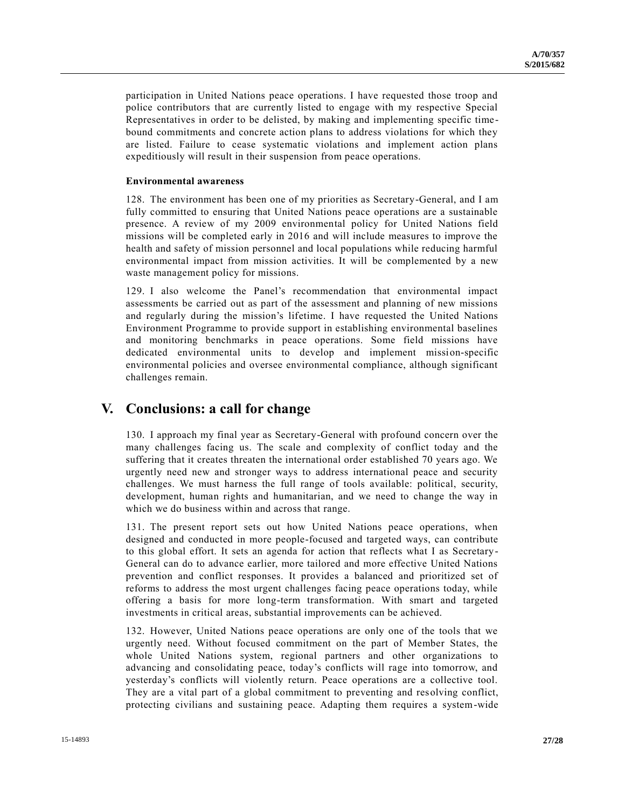participation in United Nations peace operations. I have requested those troop and police contributors that are currently listed to engage with my respective Special Representatives in order to be delisted, by making and implementing specific time bound commitments and concrete action plans to address violations for which they are listed. Failure to cease systematic violations and implement action plans expeditiously will result in their suspension from peace operations.

#### **Environmental awareness**

128. The environment has been one of my priorities as Secretary-General, and I am fully committed to ensuring that United Nations peace operations are a sustainable presence. A review of my 2009 environmental policy for United Nations field missions will be completed early in 2016 and will include measures to improve the health and safety of mission personnel and local populations while reducing harmful environmental impact from mission activities. It will be complemented by a new waste management policy for missions.

129. I also welcome the Panel's recommendation that environmental impact assessments be carried out as part of the assessment and planning of new missions and regularly during the mission's lifetime. I have requested the United Nations Environment Programme to provide support in establishing environmental baselines and monitoring benchmarks in peace operations. Some field missions have dedicated environmental units to develop and implement mission-specific environmental policies and oversee environmental compliance, although significant challenges remain.

# **V. Conclusions: a call for change**

130. I approach my final year as Secretary-General with profound concern over the many challenges facing us. The scale and complexity of conflict today and the suffering that it creates threaten the international order established 70 years ago. We urgently need new and stronger ways to address international peace and security challenges. We must harness the full range of tools available: political, security, development, human rights and humanitarian, and we need to change the way in which we do business within and across that range.

131. The present report sets out how United Nations peace operations, when designed and conducted in more people-focused and targeted ways, can contribute to this global effort. It sets an agenda for action that reflects what I as Secretary-General can do to advance earlier, more tailored and more effective United Nations prevention and conflict responses. It provides a balanced and prioritized set of reforms to address the most urgent challenges facing peace operations today, while offering a basis for more long-term transformation. With smart and targeted investments in critical areas, substantial improvements can be achieved.

132. However, United Nations peace operations are only one of the tools that we urgently need. Without focused commitment on the part of Member States, the whole United Nations system, regional partners and other organizations to advancing and consolidating peace, today's conflicts will rage into tomorrow, and yesterday's conflicts will violently return. Peace operations are a collective tool. They are a vital part of a global commitment to preventing and resolving conflict, protecting civilians and sustaining peace. Adapting them requires a system-wide